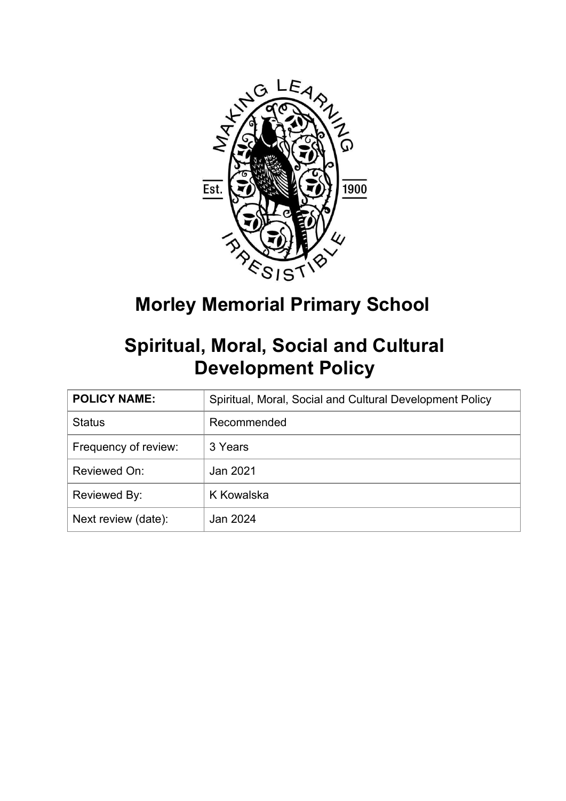

**Morley Memorial Primary School**

# **Spiritual, Moral, Social and Cultural Development Policy**

| <b>POLICY NAME:</b>  | Spiritual, Moral, Social and Cultural Development Policy |
|----------------------|----------------------------------------------------------|
| <b>Status</b>        | Recommended                                              |
| Frequency of review: | 3 Years                                                  |
| Reviewed On:         | Jan 2021                                                 |
| Reviewed By:         | K Kowalska                                               |
| Next review (date):  | Jan 2024                                                 |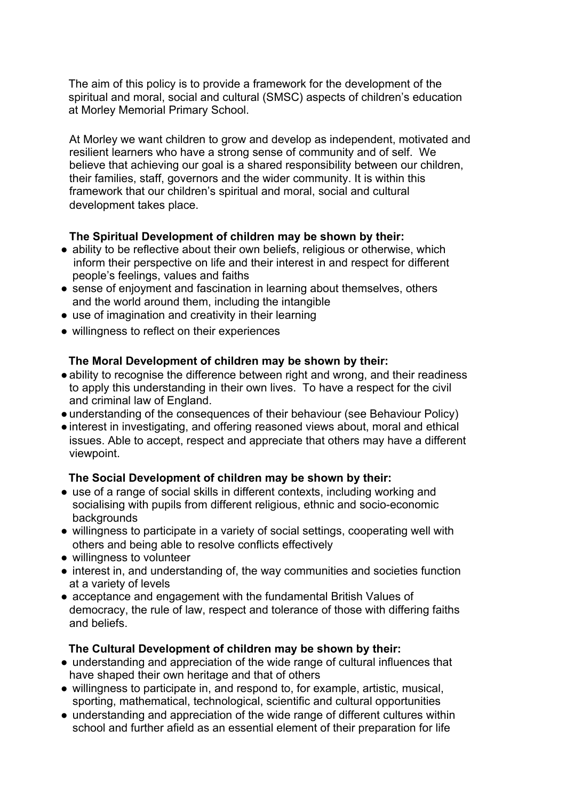The aim of this policy is to provide a framework for the development of the spiritual and moral, social and cultural (SMSC) aspects of children's education at Morley Memorial Primary School.

At Morley we want children to grow and develop as independent, motivated and resilient learners who have a strong sense of community and of self. We believe that achieving our goal is a shared responsibility between our children, their families, staff, governors and the wider community. It is within this framework that our children's spiritual and moral, social and cultural development takes place.

### **The Spiritual Development of children may be shown by their:**

- ability to be reflective about their own beliefs, religious or otherwise, which inform their perspective on life and their interest in and respect for different people's feelings, values and faiths
- sense of enjoyment and fascination in learning about themselves, others and the world around them, including the intangible
- use of imagination and creativity in their learning
- willingness to reflect on their experiences

## **The Moral Development of children may be shown by their:**

- ability to recognise the difference between right and wrong, and their readiness to apply this understanding in their own lives. To have a respect for the civil and criminal law of England.
- understanding of the consequences of their behaviour (see Behaviour Policy)
- ●interest in investigating, and offering reasoned views about, moral and ethical issues. Able to accept, respect and appreciate that others may have a different viewpoint.

## **The Social Development of children may be shown by their:**

- use of a range of social skills in different contexts, including working and socialising with pupils from different religious, ethnic and socio-economic backgrounds
- willingness to participate in a variety of social settings, cooperating well with others and being able to resolve conflicts effectively
- willingness to volunteer
- interest in, and understanding of, the way communities and societies function at a variety of levels
- acceptance and engagement with the fundamental British Values of democracy, the rule of law, respect and tolerance of those with differing faiths and beliefs.

### **The Cultural Development of children may be shown by their:**

- understanding and appreciation of the wide range of cultural influences that have shaped their own heritage and that of others
- willingness to participate in, and respond to, for example, artistic, musical, sporting, mathematical, technological, scientific and cultural opportunities
- understanding and appreciation of the wide range of different cultures within school and further afield as an essential element of their preparation for life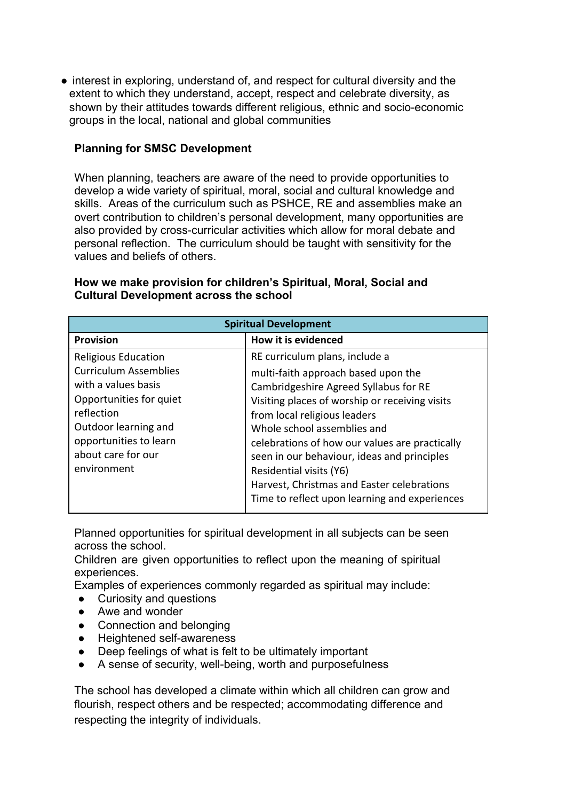• interest in exploring, understand of, and respect for cultural diversity and the extent to which they understand, accept, respect and celebrate diversity, as shown by their attitudes towards different religious, ethnic and socio-economic groups in the local, national and global communities

## **Planning for SMSC Development**

When planning, teachers are aware of the need to provide opportunities to develop a wide variety of spiritual, moral, social and cultural knowledge and skills. Areas of the curriculum such as PSHCE, RE and assemblies make an overt contribution to children's personal development, many opportunities are also provided by cross-curricular activities which allow for moral debate and personal reflection. The curriculum should be taught with sensitivity for the values and beliefs of others.

| <b>Spiritual Development</b>                                                                                                                                                                                      |                                                                                                                                                                                                                                                                                                                                                                                                                                                            |  |
|-------------------------------------------------------------------------------------------------------------------------------------------------------------------------------------------------------------------|------------------------------------------------------------------------------------------------------------------------------------------------------------------------------------------------------------------------------------------------------------------------------------------------------------------------------------------------------------------------------------------------------------------------------------------------------------|--|
| <b>Provision</b>                                                                                                                                                                                                  | How it is evidenced                                                                                                                                                                                                                                                                                                                                                                                                                                        |  |
| <b>Religious Education</b><br><b>Curriculum Assemblies</b><br>with a values basis<br>Opportunities for quiet<br>reflection<br>Outdoor learning and<br>opportunities to learn<br>about care for our<br>environment | RE curriculum plans, include a<br>multi-faith approach based upon the<br>Cambridgeshire Agreed Syllabus for RE<br>Visiting places of worship or receiving visits<br>from local religious leaders<br>Whole school assemblies and<br>celebrations of how our values are practically<br>seen in our behaviour, ideas and principles<br>Residential visits (Y6)<br>Harvest, Christmas and Easter celebrations<br>Time to reflect upon learning and experiences |  |

## **How we make provision for children's Spiritual, Moral, Social and Cultural Development across the school**

Planned opportunities for spiritual development in all subjects can be seen across the school.

Children are given opportunities to reflect upon the meaning of spiritual experiences.

Examples of experiences commonly regarded as spiritual may include:

- Curiosity and questions
- Awe and wonder
- Connection and belonging
- Heightened self-awareness
- Deep feelings of what is felt to be ultimately important
- A sense of security, well-being, worth and purposefulness

The school has developed a climate within which all children can grow and flourish, respect others and be respected; accommodating difference and respecting the integrity of individuals.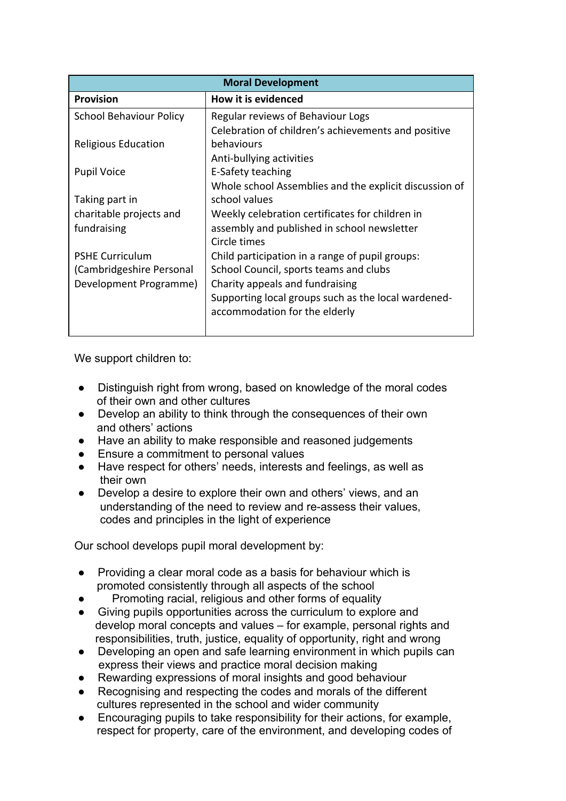| <b>Moral Development</b>       |                                                        |  |
|--------------------------------|--------------------------------------------------------|--|
| <b>Provision</b>               | How it is evidenced                                    |  |
| <b>School Behaviour Policy</b> | Regular reviews of Behaviour Logs                      |  |
|                                | Celebration of children's achievements and positive    |  |
| <b>Religious Education</b>     | behaviours                                             |  |
|                                | Anti-bullying activities                               |  |
| <b>Pupil Voice</b>             | E-Safety teaching                                      |  |
|                                | Whole school Assemblies and the explicit discussion of |  |
| Taking part in                 | school values                                          |  |
| charitable projects and        | Weekly celebration certificates for children in        |  |
| fundraising                    | assembly and published in school newsletter            |  |
|                                | Circle times                                           |  |
| <b>PSHE Curriculum</b>         | Child participation in a range of pupil groups:        |  |
| (Cambridgeshire Personal       | School Council, sports teams and clubs                 |  |
| Development Programme)         | Charity appeals and fundraising                        |  |
|                                | Supporting local groups such as the local wardened-    |  |
|                                | accommodation for the elderly                          |  |
|                                |                                                        |  |

We support children to:

- Distinguish right from wrong, based on knowledge of the moral codes of their own and other cultures
- Develop an ability to think through the consequences of their own and others' actions
- Have an ability to make responsible and reasoned judgements
- Ensure a commitment to personal values
- Have respect for others' needs, interests and feelings, as well as their own
- Develop a desire to explore their own and others' views, and an understanding of the need to review and re-assess their values, codes and principles in the light of experience

Our school develops pupil moral development by:

- Providing a clear moral code as a basis for behaviour which is promoted consistently through all aspects of the school
- Promoting racial, religious and other forms of equality
- Giving pupils opportunities across the curriculum to explore and develop moral concepts and values – for example, personal rights and responsibilities, truth, justice, equality of opportunity, right and wrong
- Developing an open and safe learning environment in which pupils can express their views and practice moral decision making
- Rewarding expressions of moral insights and good behaviour
- Recognising and respecting the codes and morals of the different cultures represented in the school and wider community
- Encouraging pupils to take responsibility for their actions, for example, respect for property, care of the environment, and developing codes of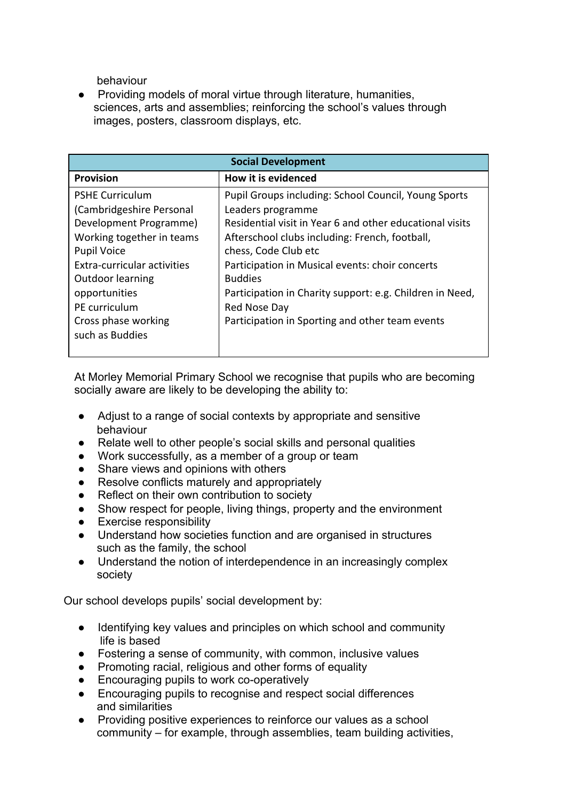behaviour

● Providing models of moral virtue through literature, humanities, sciences, arts and assemblies; reinforcing the school's values through images, posters, classroom displays, etc.

| <b>Social Development</b>   |                                                             |  |
|-----------------------------|-------------------------------------------------------------|--|
| <b>Provision</b>            | How it is evidenced                                         |  |
| <b>PSHE Curriculum</b>      | <b>Pupil Groups including: School Council, Young Sports</b> |  |
| (Cambridgeshire Personal    | Leaders programme                                           |  |
| Development Programme)      | Residential visit in Year 6 and other educational visits    |  |
| Working together in teams   | Afterschool clubs including: French, football,              |  |
| <b>Pupil Voice</b>          | chess, Code Club etc                                        |  |
| Extra-curricular activities | Participation in Musical events: choir concerts             |  |
| Outdoor learning            | <b>Buddies</b>                                              |  |
| opportunities               | Participation in Charity support: e.g. Children in Need,    |  |
| PE curriculum               | Red Nose Day                                                |  |
| Cross phase working         | Participation in Sporting and other team events             |  |
| such as Buddies             |                                                             |  |
|                             |                                                             |  |

At Morley Memorial Primary School we recognise that pupils who are becoming socially aware are likely to be developing the ability to:

- Adjust to a range of social contexts by appropriate and sensitive behaviour
- Relate well to other people's social skills and personal qualities
- Work successfully, as a member of a group or team
- Share views and opinions with others
- Resolve conflicts maturely and appropriately
- Reflect on their own contribution to society
- Show respect for people, living things, property and the environment
- **Exercise responsibility**
- Understand how societies function and are organised in structures such as the family, the school
- Understand the notion of interdependence in an increasingly complex society

Our school develops pupils' social development by:

- Identifying key values and principles on which school and community life is based
- Fostering a sense of community, with common, inclusive values
- Promoting racial, religious and other forms of equality
- Encouraging pupils to work co-operatively
- Encouraging pupils to recognise and respect social differences and similarities
- Providing positive experiences to reinforce our values as a school community – for example, through assemblies, team building activities,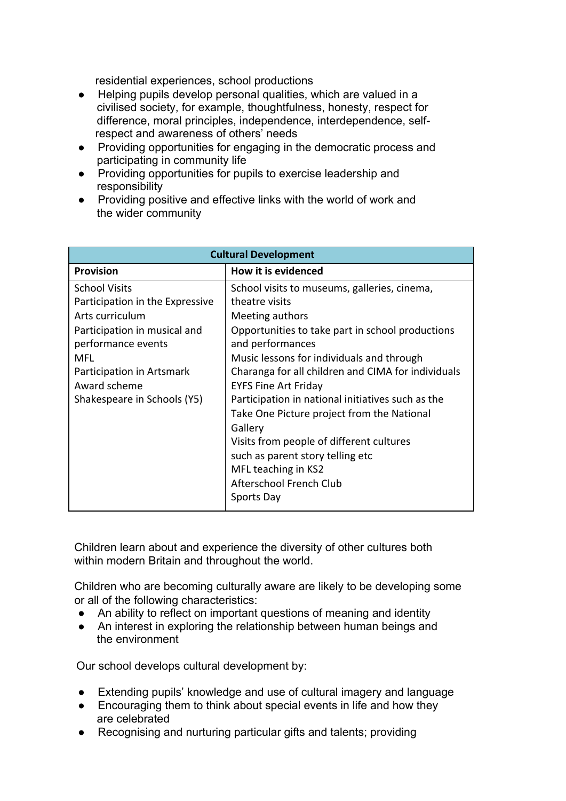residential experiences, school productions

- Helping pupils develop personal qualities, which are valued in a civilised society, for example, thoughtfulness, honesty, respect for difference, moral principles, independence, interdependence, self respect and awareness of others' needs
- Providing opportunities for engaging in the democratic process and participating in community life
- Providing opportunities for pupils to exercise leadership and responsibility
- Providing positive and effective links with the world of work and the wider community

| <b>Cultural Development</b>                                                                                                                                                                                         |                                                                                                                                                                                                                                                                                                                                                                                                |  |  |
|---------------------------------------------------------------------------------------------------------------------------------------------------------------------------------------------------------------------|------------------------------------------------------------------------------------------------------------------------------------------------------------------------------------------------------------------------------------------------------------------------------------------------------------------------------------------------------------------------------------------------|--|--|
| <b>Provision</b>                                                                                                                                                                                                    | How it is evidenced                                                                                                                                                                                                                                                                                                                                                                            |  |  |
| <b>School Visits</b><br>Participation in the Expressive<br>Arts curriculum<br>Participation in musical and<br>performance events<br>MFL<br>Participation in Artsmark<br>Award scheme<br>Shakespeare in Schools (Y5) | School visits to museums, galleries, cinema,<br>theatre visits<br>Meeting authors<br>Opportunities to take part in school productions<br>and performances<br>Music lessons for individuals and through<br>Charanga for all children and CIMA for individuals<br><b>EYFS Fine Art Friday</b><br>Participation in national initiatives such as the<br>Take One Picture project from the National |  |  |
|                                                                                                                                                                                                                     | Gallery<br>Visits from people of different cultures<br>such as parent story telling etc<br>MFL teaching in KS2<br>Afterschool French Club<br>Sports Day                                                                                                                                                                                                                                        |  |  |

Children learn about and experience the diversity of other cultures both within modern Britain and throughout the world.

Children who are becoming culturally aware are likely to be developing some or all of the following characteristics:

- An ability to reflect on important questions of meaning and identity
- An interest in exploring the relationship between human beings and the environment

Our school develops cultural development by:

- Extending pupils' knowledge and use of cultural imagery and language
- Encouraging them to think about special events in life and how they are celebrated
- Recognising and nurturing particular gifts and talents; providing